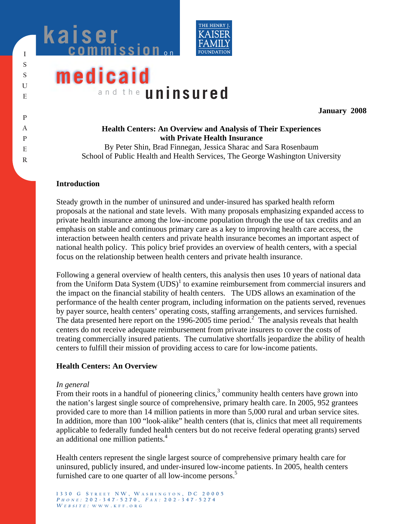



# **medicaid** a n d t h e **uninsured**

**January 2008** 

# **Health Centers: An Overview and Analysis of Their Experiences with Private Health Insurance**

By Peter Shin, Brad Finnegan, Jessica Sharac and Sara Rosenbaum School of Public Health and Health Services, The George Washington University

## **Introduction**

Steady growth in the number of uninsured and under-insured has sparked health reform proposals at the national and state levels. With many proposals emphasizing expanded access to private health insurance among the low-income population through the use of tax credits and an emphasis on stable and continuous primary care as a key to improving health care access, the interaction between health centers and private health insurance becomes an important aspect of national health policy. This policy brief provides an overview of health centers, with a special focus on the relationship between health centers and private health insurance.

Following a general overview of health centers, this analysis then uses 10 years of national data from the Uniform Data System  $(UDS)^1$  to examine reimbursement from commercial insurers and the impact on the financial stability of health centers. The UDS allows an examination of the performance of the health center program, including information on the patients served, revenues by payer source, health centers' operating costs, staffing arrangements, and services furnished. The data presented here report on the  $1996-2005$  time period.<sup>2</sup> The analysis reveals that health centers do not receive adequate reimbursement from private insurers to cover the costs of treating commercially insured patients. The cumulative shortfalls jeopardize the ability of health centers to fulfill their mission of providing access to care for low-income patients.

# **Health Centers: An Overview**

### *In general*

From their roots in a handful of pioneering clinics, $3$  community health centers have grown into the nation's largest single source of comprehensive, primary health care. In 2005, 952 grantees provided care to more than 14 million patients in more than 5,000 rural and urban service sites. In addition, more than 100 "look-alike" health centers (that is, clinics that meet all requirements applicable to federally funded health centers but do not receive federal operating grants) served an additional one million patients.<sup>4</sup>

Health centers represent the single largest source of comprehensive primary health care for uninsured, publicly insured, and under-insured low-income patients. In 2005, health centers furnished care to one quarter of all low-income persons.<sup>5</sup>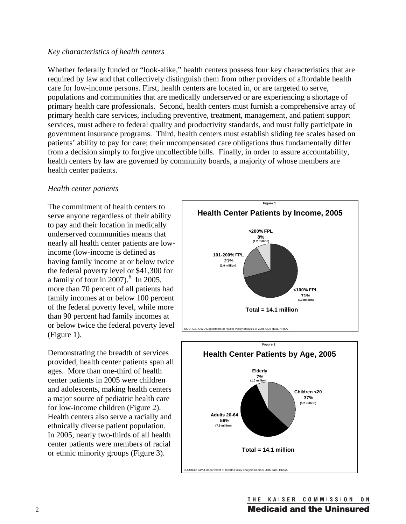#### *Key characteristics of health centers*

Whether federally funded or "look-alike," health centers possess four key characteristics that are required by law and that collectively distinguish them from other providers of affordable health care for low-income persons. First, health centers are located in, or are targeted to serve, populations and communities that are medically underserved or are experiencing a shortage of primary health care professionals. Second, health centers must furnish a comprehensive array of primary health care services, including preventive, treatment, management, and patient support services, must adhere to federal quality and productivity standards, and must fully participate in government insurance programs. Third, health centers must establish sliding fee scales based on patients' ability to pay for care; their uncompensated care obligations thus fundamentally differ from a decision simply to forgive uncollectible bills. Finally, in order to assure accountability, health centers by law are governed by community boards, a majority of whose members are health center patients.

#### *Health center patients*

The commitment of health centers to serve anyone regardless of their ability to pay and their location in medically underserved communities means that nearly all health center patients are lowincome (low-income is defined as having family income at or below twice the federal poverty level or \$41,300 for a family of four in  $2007$ ).<sup>6</sup> In 2005, more than 70 percent of all patients had family incomes at or below 100 percent of the federal poverty level, while more than 90 percent had family incomes at or below twice the federal poverty level (Figure 1).

Demonstrating the breadth of services provided, health center patients span all ages. More than one-third of health center patients in 2005 were children and adolescents, making health centers a major source of pediatric health care for low-income children (Figure 2). Health centers also serve a racially and ethnically diverse patient population. In 2005, nearly two-thirds of all health center patients were members of racial or ethnic minority groups (Figure 3).



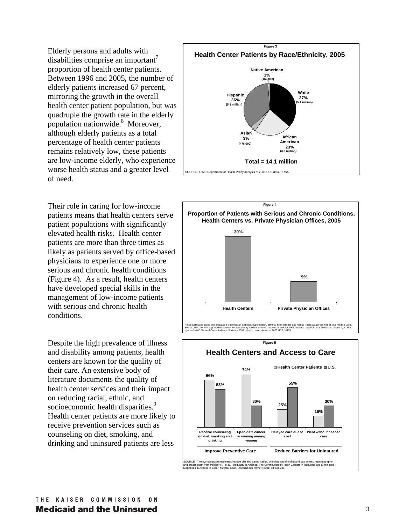Elderly persons and adults with disabilities comprise an important' proportion of health center patients. Between 1996 and 2005, the number of elderly patients increased 67 percent, mirroring the growth in the overall health center patient population, but was quadruple the growth rate in the elderly population nationwide.<sup>8</sup> Moreover, although elderly patients as a total percentage of health center patients remains relatively low, these patients are low-income elderly, who experience worse health status and a greater level of need.

Their role in caring for low-income patients means that health centers serve patient populations with significantly elevated health risks. Health center patients are more than three times as likely as patients served by office-based physicians to experience one or more serious and chronic health conditions (Figure 4). As a result, health centers have developed special skills in the management of low-income patients with serious and chronic health conditions.

Despite the high prevalence of illness and disability among patients, health centers are known for the quality of their care. An extensive body of literature documents the quality of health center services and their impact on reducing racial, ethnic, and socioeconomic health disparities.<sup>9</sup> Health center patients are more likely to receive prevention services such as counseling on diet, smoking, and drinking and uninsured patients are less





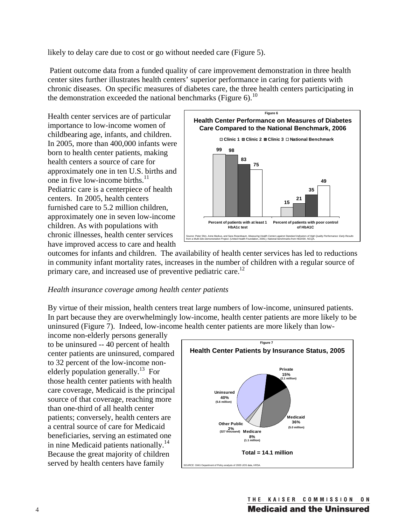likely to delay care due to cost or go without needed care (Figure 5).

 Patient outcome data from a funded quality of care improvement demonstration in three health center sites further illustrates health centers' superior performance in caring for patients with chronic diseases. On specific measures of diabetes care, the three health centers participating in the demonstration exceeded the national benchmarks (Figure 6).<sup>10</sup>

Health center services are of particular importance to low-income women of childbearing age, infants, and children. In 2005, more than 400,000 infants were born to health center patients, making health centers a source of care for approximately one in ten U.S. births and one in five low-income births. $^{11}$ Pediatric care is a centerpiece of health centers. In 2005, health centers furnished care to 5.2 million children, approximately one in seven low-income children. As with populations with chronic illnesses, health center services have improved access to care and health



outcomes for infants and children. The availability of health center services has led to reductions in community infant mortality rates, increases in the number of children with a regular source of primary care, and increased use of preventive pediatric care.<sup>12</sup>

### *Health insurance coverage among health center patients*

By virtue of their mission, health centers treat large numbers of low-income, uninsured patients. In part because they are overwhelmingly low-income, health center patients are more likely to be uninsured (Figure 7). Indeed, low-income health center patients are more likely than low-

income non-elderly persons generally to be uninsured -- 40 percent of health center patients are uninsured, compared to 32 percent of the low-income nonelderly population generally.<sup>13</sup> For those health center patients with health care coverage, Medicaid is the principal source of that coverage, reaching more than one-third of all health center patients; conversely, health centers are a central source of care for Medicaid beneficiaries, serving an estimated one in nine Medicaid patients nationally.<sup>14</sup> Because the great majority of children served by health centers have family

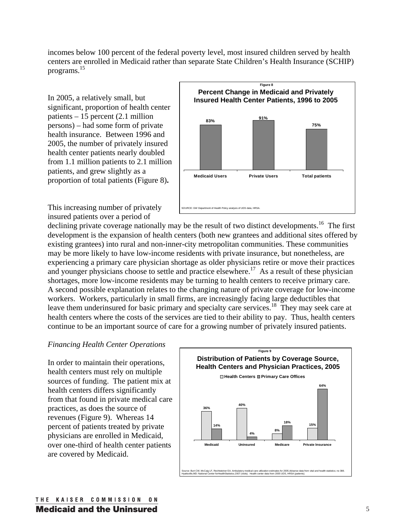incomes below 100 percent of the federal poverty level, most insured children served by health centers are enrolled in Medicaid rather than separate State Children's Health Insurance (SCHIP) programs.15

In 2005, a relatively small, but significant, proportion of health center patients – 15 percent (2.1 million persons) – had some form of private health insurance. Between 1996 and 2005, the number of privately insured health center patients nearly doubled from 1.1 million patients to 2.1 million patients, and grew slightly as a proportion of total patients (Figure 8)**.**



This increasing number of privately insured patients over a period of

declining private coverage nationally may be the result of two distinct developments.<sup>16</sup> The first development is the expansion of health centers (both new grantees and additional sites offered by existing grantees) into rural and non-inner-city metropolitan communities. These communities may be more likely to have low-income residents with private insurance, but nonetheless, are experiencing a primary care physician shortage as older physicians retire or move their practices and younger physicians choose to settle and practice elsewhere.<sup>17</sup> As a result of these physician shortages, more low-income residents may be turning to health centers to receive primary care. A second possible explanation relates to the changing nature of private coverage for low-income workers. Workers, particularly in small firms, are increasingly facing large deductibles that leave them underinsured for basic primary and specialty care services.<sup>18</sup> They may seek care at health centers where the costs of the services are tied to their ability to pay. Thus, health centers continue to be an important source of care for a growing number of privately insured patients.

# *Financing Health Center Operations*

In order to maintain their operations, health centers must rely on multiple sources of funding. The patient mix at health centers differs significantly from that found in private medical care practices, as does the source of revenues (Figure 9). Whereas 14 percent of patients treated by private physicians are enrolled in Medicaid, over one-third of health center patients are covered by Medicaid.

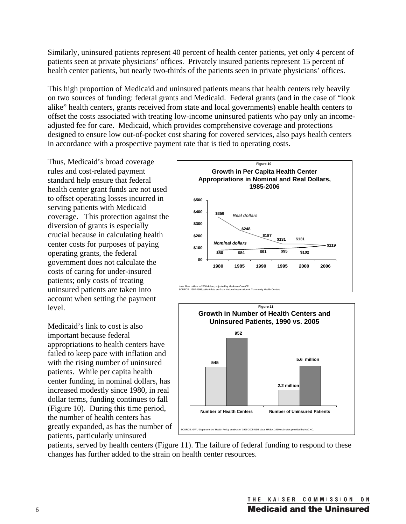Similarly, uninsured patients represent 40 percent of health center patients, yet only 4 percent of patients seen at private physicians' offices. Privately insured patients represent 15 percent of health center patients, but nearly two-thirds of the patients seen in private physicians' offices.

This high proportion of Medicaid and uninsured patients means that health centers rely heavily on two sources of funding: federal grants and Medicaid. Federal grants (and in the case of "look alike" health centers, grants received from state and local governments) enable health centers to offset the costs associated with treating low-income uninsured patients who pay only an incomeadjusted fee for care. Medicaid, which provides comprehensive coverage and protections designed to ensure low out-of-pocket cost sharing for covered services, also pays health centers in accordance with a prospective payment rate that is tied to operating costs.

Thus, Medicaid's broad coverage rules and cost-related payment standard help ensure that federal health center grant funds are not used to offset operating losses incurred in serving patients with Medicaid coverage. This protection against the diversion of grants is especially crucial because in calculating health center costs for purposes of paying operating grants, the federal government does not calculate the costs of caring for under-insured patients; only costs of treating uninsured patients are taken into account when setting the payment level.

Medicaid's link to cost is also important because federal appropriations to health centers have failed to keep pace with inflation and with the rising number of uninsured patients. While per capita health center funding, in nominal dollars, has increased modestly since 1980, in real dollar terms, funding continues to fall (Figure 10). During this time period, the number of health centers has greatly expanded, as has the number of patients, particularly uninsured





patients, served by health centers (Figure 11). The failure of federal funding to respond to these changes has further added to the strain on health center resources.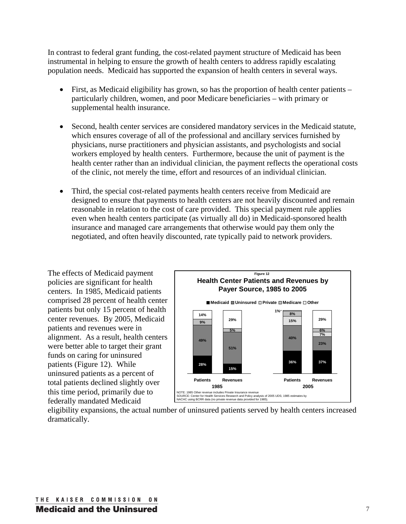In contrast to federal grant funding, the cost-related payment structure of Medicaid has been instrumental in helping to ensure the growth of health centers to address rapidly escalating population needs. Medicaid has supported the expansion of health centers in several ways.

- First, as Medicaid eligibility has grown, so has the proportion of health center patients particularly children, women, and poor Medicare beneficiaries – with primary or supplemental health insurance.
- Second, health center services are considered mandatory services in the Medicaid statute, which ensures coverage of all of the professional and ancillary services furnished by physicians, nurse practitioners and physician assistants, and psychologists and social workers employed by health centers. Furthermore, because the unit of payment is the health center rather than an individual clinician, the payment reflects the operational costs of the clinic, not merely the time, effort and resources of an individual clinician.
- Third, the special cost-related payments health centers receive from Medicaid are designed to ensure that payments to health centers are not heavily discounted and remain reasonable in relation to the cost of care provided. This special payment rule applies even when health centers participate (as virtually all do) in Medicaid-sponsored health insurance and managed care arrangements that otherwise would pay them only the negotiated, and often heavily discounted, rate typically paid to network providers.

The effects of Medicaid payment policies are significant for health centers. In 1985, Medicaid patients comprised 28 percent of health center patients but only 15 percent of health center revenues. By 2005, Medicaid patients and revenues were in alignment. As a result, health centers were better able to target their grant funds on caring for uninsured patients (Figure 12). While uninsured patients as a percent of total patients declined slightly over this time period, primarily due to federally mandated Medicaid



eligibility expansions, the actual number of uninsured patients served by health centers increased dramatically.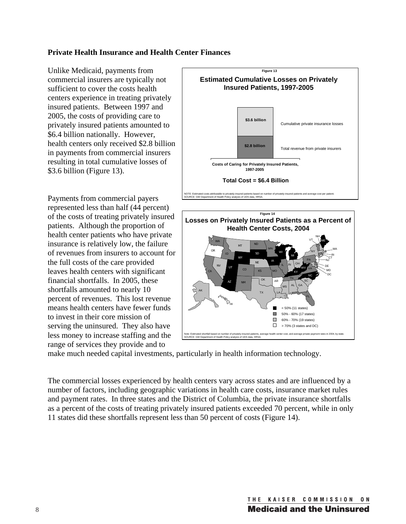# **Private Health Insurance and Health Center Finances**

Unlike Medicaid, payments from commercial insurers are typically not sufficient to cover the costs health centers experience in treating privately insured patients. Between 1997 and 2005, the costs of providing care to privately insured patients amounted to \$6.4 billion nationally. However, health centers only received \$2.8 billion in payments from commercial insurers resulting in total cumulative losses of \$3.6 billion (Figure 13).

Payments from commercial payers represented less than half (44 percent) of the costs of treating privately insured patients. Although the proportion of health center patients who have private insurance is relatively low, the failure of revenues from insurers to account for the full costs of the care provided leaves health centers with significant financial shortfalls. In 2005, these shortfalls amounted to nearly 10 percent of revenues. This lost revenue means health centers have fewer funds to invest in their core mission of serving the uninsured. They also have less money to increase staffing and the range of services they provide and to





make much needed capital investments, particularly in health information technology.

The commercial losses experienced by health centers vary across states and are influenced by a number of factors, including geographic variations in health care costs, insurance market rules and payment rates. In three states and the District of Columbia, the private insurance shortfalls as a percent of the costs of treating privately insured patients exceeded 70 percent, while in only 11 states did these shortfalls represent less than 50 percent of costs (Figure 14).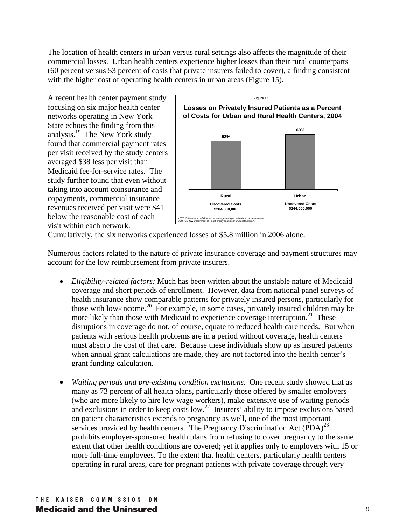The location of health centers in urban versus rural settings also affects the magnitude of their commercial losses. Urban health centers experience higher losses than their rural counterparts (60 percent versus 53 percent of costs that private insurers failed to cover), a finding consistent with the higher cost of operating health centers in urban areas (Figure 15).

A recent health center payment study focusing on six major health center networks operating in New York State echoes the finding from this analysis.19 The New York study found that commercial payment rates per visit received by the study centers averaged \$38 less per visit than Medicaid fee-for-service rates. The study further found that even without taking into account coinsurance and copayments, commercial insurance revenues received per visit were \$41 below the reasonable cost of each visit within each network.



Cumulatively, the six networks experienced losses of \$5.8 million in 2006 alone.

Numerous factors related to the nature of private insurance coverage and payment structures may account for the low reimbursement from private insurers.

- x *Eligibility-related factors:* Much has been written about the unstable nature of Medicaid coverage and short periods of enrollment. However, data from national panel surveys of health insurance show comparable patterns for privately insured persons, particularly for those with low-income.20 For example, in some cases, privately insured children may be more likely than those with Medicaid to experience coverage interruption.<sup>21</sup> These disruptions in coverage do not, of course, equate to reduced health care needs. But when patients with serious health problems are in a period without coverage, health centers must absorb the cost of that care. Because these individuals show up as insured patients when annual grant calculations are made, they are not factored into the health center's grant funding calculation.
- x *Waiting periods and pre-existing condition exclusions.* One recent study showed that as many as 73 percent of all health plans, particularly those offered by smaller employers (who are more likely to hire low wage workers), make extensive use of waiting periods and exclusions in order to keep costs low.<sup>22</sup> Insurers' ability to impose exclusions based on patient characteristics extends to pregnancy as well, one of the most important services provided by health centers. The Pregnancy Discrimination Act  $(PDA)^{23}$ prohibits employer-sponsored health plans from refusing to cover pregnancy to the same extent that other health conditions are covered; yet it applies only to employers with 15 or more full-time employees. To the extent that health centers, particularly health centers operating in rural areas, care for pregnant patients with private coverage through very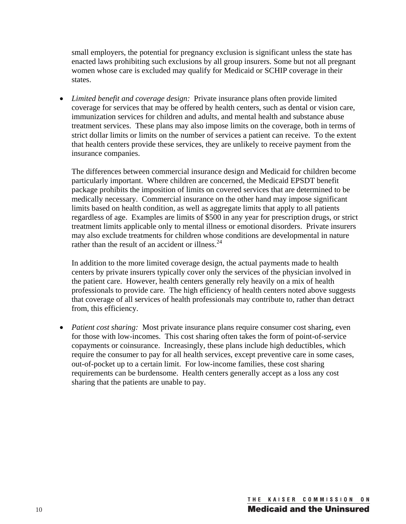small employers, the potential for pregnancy exclusion is significant unless the state has enacted laws prohibiting such exclusions by all group insurers. Some but not all pregnant women whose care is excluded may qualify for Medicaid or SCHIP coverage in their states.

• *Limited benefit and coverage design:* Private insurance plans often provide limited coverage for services that may be offered by health centers, such as dental or vision care, immunization services for children and adults, and mental health and substance abuse treatment services. These plans may also impose limits on the coverage, both in terms of strict dollar limits or limits on the number of services a patient can receive. To the extent that health centers provide these services, they are unlikely to receive payment from the insurance companies.

The differences between commercial insurance design and Medicaid for children become particularly important. Where children are concerned, the Medicaid EPSDT benefit package prohibits the imposition of limits on covered services that are determined to be medically necessary. Commercial insurance on the other hand may impose significant limits based on health condition, as well as aggregate limits that apply to all patients regardless of age. Examples are limits of \$500 in any year for prescription drugs, or strict treatment limits applicable only to mental illness or emotional disorders. Private insurers may also exclude treatments for children whose conditions are developmental in nature rather than the result of an accident or illness. $^{24}$ 

In addition to the more limited coverage design, the actual payments made to health centers by private insurers typically cover only the services of the physician involved in the patient care. However, health centers generally rely heavily on a mix of health professionals to provide care. The high efficiency of health centers noted above suggests that coverage of all services of health professionals may contribute to, rather than detract from, this efficiency.

• *Patient cost sharing:* Most private insurance plans require consumer cost sharing, even for those with low-incomes. This cost sharing often takes the form of point-of-service copayments or coinsurance. Increasingly, these plans include high deductibles, which require the consumer to pay for all health services, except preventive care in some cases, out-of-pocket up to a certain limit. For low-income families, these cost sharing requirements can be burdensome. Health centers generally accept as a loss any cost sharing that the patients are unable to pay.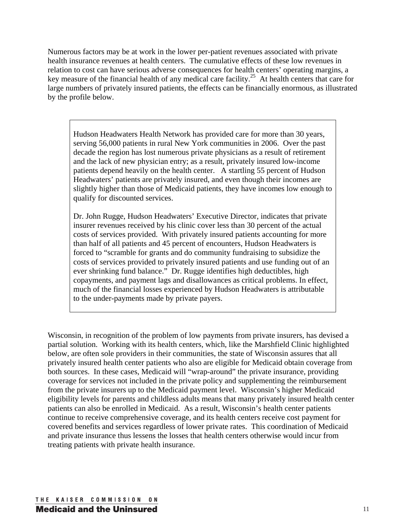Numerous factors may be at work in the lower per-patient revenues associated with private health insurance revenues at health centers. The cumulative effects of these low revenues in relation to cost can have serious adverse consequences for health centers' operating margins, a key measure of the financial health of any medical care facility.<sup>25</sup> At health centers that care for large numbers of privately insured patients, the effects can be financially enormous, as illustrated by the profile below.

Hudson Headwaters Health Network has provided care for more than 30 years, serving 56,000 patients in rural New York communities in 2006. Over the past decade the region has lost numerous private physicians as a result of retirement and the lack of new physician entry; as a result, privately insured low-income patients depend heavily on the health center. A startling 55 percent of Hudson Headwaters' patients are privately insured, and even though their incomes are slightly higher than those of Medicaid patients, they have incomes low enough to qualify for discounted services.

Dr. John Rugge, Hudson Headwaters' Executive Director, indicates that private insurer revenues received by his clinic cover less than 30 percent of the actual costs of services provided. With privately insured patients accounting for more than half of all patients and 45 percent of encounters, Hudson Headwaters is forced to "scramble for grants and do community fundraising to subsidize the costs of services provided to privately insured patients and use funding out of an ever shrinking fund balance." Dr. Rugge identifies high deductibles, high copayments, and payment lags and disallowances as critical problems. In effect, much of the financial losses experienced by Hudson Headwaters is attributable to the under-payments made by private payers.

Wisconsin, in recognition of the problem of low payments from private insurers, has devised a partial solution. Working with its health centers, which, like the Marshfield Clinic highlighted below, are often sole providers in their communities, the state of Wisconsin assures that all privately insured health center patients who also are eligible for Medicaid obtain coverage from both sources. In these cases, Medicaid will "wrap-around" the private insurance, providing coverage for services not included in the private policy and supplementing the reimbursement from the private insurers up to the Medicaid payment level. Wisconsin's higher Medicaid eligibility levels for parents and childless adults means that many privately insured health center patients can also be enrolled in Medicaid. As a result, Wisconsin's health center patients continue to receive comprehensive coverage, and its health centers receive cost payment for covered benefits and services regardless of lower private rates. This coordination of Medicaid and private insurance thus lessens the losses that health centers otherwise would incur from treating patients with private health insurance.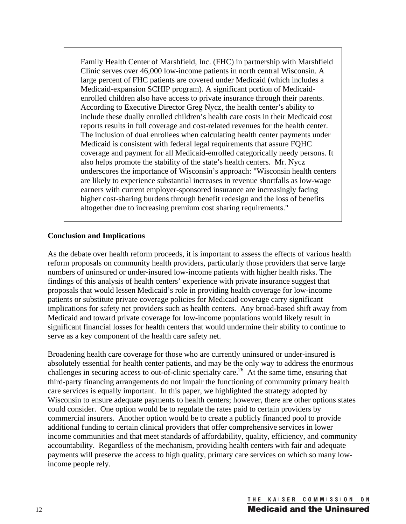Family Health Center of Marshfield, Inc. (FHC) in partnership with Marshfield Clinic serves over 46,000 low-income patients in north central Wisconsin. A large percent of FHC patients are covered under Medicaid (which includes a Medicaid-expansion SCHIP program). A significant portion of Medicaidenrolled children also have access to private insurance through their parents. According to Executive Director Greg Nycz, the health center's ability to include these dually enrolled children's health care costs in their Medicaid cost reports results in full coverage and cost-related revenues for the health center. The inclusion of dual enrollees when calculating health center payments under Medicaid is consistent with federal legal requirements that assure FQHC coverage and payment for all Medicaid-enrolled categorically needy persons. It also helps promote the stability of the state's health centers. Mr. Nycz underscores the importance of Wisconsin's approach: "Wisconsin health centers are likely to experience substantial increases in revenue shortfalls as low-wage earners with current employer-sponsored insurance are increasingly facing higher cost-sharing burdens through benefit redesign and the loss of benefits altogether due to increasing premium cost sharing requirements."

# **Conclusion and Implications**

As the debate over health reform proceeds, it is important to assess the effects of various health reform proposals on community health providers, particularly those providers that serve large numbers of uninsured or under-insured low-income patients with higher health risks. The findings of this analysis of health centers' experience with private insurance suggest that proposals that would lessen Medicaid's role in providing health coverage for low-income patients or substitute private coverage policies for Medicaid coverage carry significant implications for safety net providers such as health centers. Any broad-based shift away from Medicaid and toward private coverage for low-income populations would likely result in significant financial losses for health centers that would undermine their ability to continue to serve as a key component of the health care safety net.

Broadening health care coverage for those who are currently uninsured or under-insured is absolutely essential for health center patients, and may be the only way to address the enormous challenges in securing access to out-of-clinic specialty care.<sup>26</sup> At the same time, ensuring that third-party financing arrangements do not impair the functioning of community primary health care services is equally important. In this paper, we highlighted the strategy adopted by Wisconsin to ensure adequate payments to health centers; however, there are other options states could consider. One option would be to regulate the rates paid to certain providers by commercial insurers. Another option would be to create a publicly financed pool to provide additional funding to certain clinical providers that offer comprehensive services in lower income communities and that meet standards of affordability, quality, efficiency, and community accountability. Regardless of the mechanism, providing health centers with fair and adequate payments will preserve the access to high quality, primary care services on which so many lowincome people rely.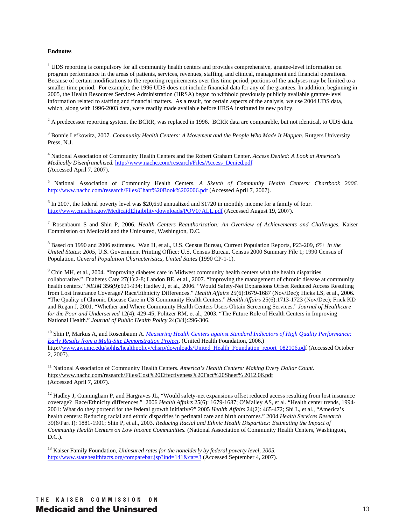#### **Endnotes**

<sup>1</sup> UDS reporting is compulsory for all community health centers and provides comprehensive, grantee-level information on program performance in the areas of patients, services, revenues, staffing, and clinical, management and financial operations. Because of certain modifications to the reporting requirements over this time period, portions of the analyses may be limited to a smaller time period. For example, the 1996 UDS does not include financial data for any of the grantees. In addition, beginning in 2005, the Health Resources Services Administration (HRSA) began to withhold previously publicly available grantee-level information related to staffing and financial matters. As a result, for certain aspects of the analysis, we use 2004 UDS data, which, along with 1996-2003 data, were readily made available before HRSA instituted its new policy.

 $2^2$  A predecessor reporting system, the BCRR, was replaced in 1996. BCRR data are comparable, but not identical, to UDS data.

<sup>3</sup> Bonnie Lefkowitz, 2007. *Community Health Centers: A Movement and the People Who Made It Happen.* Rutgers University Press, N.J.

4 National Association of Community Health Centers and the Robert Graham Center. *Access Denied: A Look at America's Medically Disenfranchised.* http://www.nachc.com/research/Files/Access\_Denied.pdf (Accessed April 7, 2007).

5 National Association of Community Health Centers. *A Sketch of Community Health Centers: Chartbook 2006.* http://www.nachc.com/research/Files/Chart%20Book%202006.pdf (Accessed April 7, 2007).

<sup>6</sup> In 2007, the federal poverty level was \$20,650 annualized and \$1720 in monthly income for a family of four. http://www.cms.hhs.gov/MedicaidEligibility/downloads/POV07ALL.pdf (Accessed August 19, 2007).

<sup>7</sup> Rosenbaum S and Shin P, 2006. *Health Centers Reauthorization: An Overview of Achievements and Challenges. Kaiser* Commission on Medicaid and the Uninsured, Washington, D.C.

8 Based on 1990 and 2006 estimates. Wan H, et al., U.S. Census Bureau, Current Population Reports, P23-209, *65+ in the United States: 2005*, U.S. Government Printing Office; U.S. Census Bureau, Census 2000 Summary File 1; 1990 Census of Population, *General Population Characteristics, United States* (1990 CP-1-1).

<sup>9</sup> Chin MH, et al., 2004. "Improving diabetes care in Midwest community health centers with the health disparities collaborative." Diabetes Care 27(1):2-8; Landon BE, et al., 2007. "Improving the management of chronic disease at community health centers." *NEJM* 356(9):921-934; Hadley J, et al., 2006. "Would Safety-Net Expansions Offset Reduced Access Resulting from Lost Insurance Coverage? Race/Ethnicity Differences." *Health Affairs* 25(6):1679-1687 (Nov/Dec); Hicks LS, et al., 2006. "The Quality of Chronic Disease Care in US Community Health Centers." *Health Affairs* 25(6):1713-1723 (Nov/Dec); Frick KD and Regan J, 2001. "Whether and Where Community Health Centers Users Obtain Screening Services." *Journal of Healthcare for the Poor and Underserved* 12(4): 429-45; Politzer RM, et al., 2003. "The Future Role of Health Centers in Improving National Health." *Journal of Public Health Policy* 24(3/4):296-306.

10 Shin P, Markus A, and Rosenbaum A. *Measuring Health Centers against Standard Indicators of High Quality Performance: Early Results from a Multi-Site Demonstration Project*. (United Health Foundation, 2006.) http://www.gwumc.edu/sphhs/healthpolicy/chsrp/downloads/United\_Health\_Foundation\_report\_082106.pdf (Accessed October 2, 2007).

<sup>11</sup> National Association of Community Health Centers. *America's Health Centers: Making Every Dollar Count.* http://www.nachc.com/research/Files/Cost%20Effectiveness%20Fact%20Sheet% 2012.06.pdf (Accessed April 7, 2007).

 $12$  Hadley J, Cunningham P, and Hargraves JL, "Would safety-net expansions offset reduced access resulting from lost insurance coverage? Race/Ethnicity differences." 2006 *Health Affairs* 25(6): 1679-1687; O'Malley AS, et al. "Health center trends, 1994- 2001: What do they portend for the federal growth initiative?" 2005 *Health Affairs* 24(2): 465-472; Shi L, et al., "America's health centers: Reducing racial and ethnic disparities in perinatal care and birth outcomes." 2004 *Health Services Research*  39(6/Part I): 1881-1901; Shin P, et al., 2003. *Reducing Racial and Ethnic Health Disparities: Estimating the Impact of Community Health Centers on Low Income Communities.* (National Association of Community Health Centers, Washington, D.C.).

13 Kaiser Family Foundation, *Uninsured rates for the nonelderly by federal poverty level, 2005.*  http://www.statehealthfacts.org/comparebar.jsp?ind=141&cat=3 (Accessed September 4, 2007).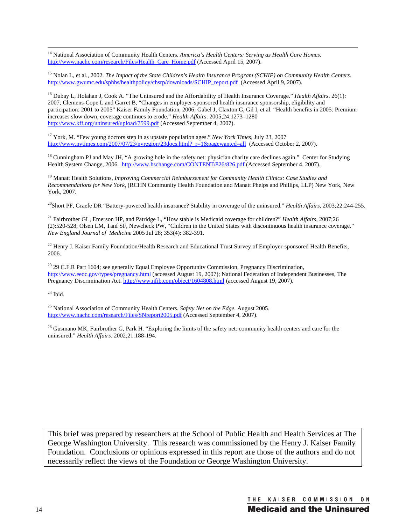14 National Association of Community Health Centers. *America's Health Centers: Serving as Health Care Homes.* http://www.nachc.com/research/Files/Health\_Care\_Home.pdf (Accessed April 15, 2007).

15 Nolan L, et al., 2002. *The Impact of the State Children's Health Insurance Program (SCHIP) on Community Health Centers*. http://www.gwumc.edu/sphhs/healthpolicy/chsrp/downloads/SCHIP\_report.pdf (Accessed April 9, 2007).

16 Dubay L, Holahan J, Cook A. "The Uninsured and the Affordability of Health Insurance Coverage." *Health Affairs*. 26(1): 2007; Clemens-Cope L and Garret B, "Changes in employer-sponsored health insurance sponsorship, eligibility and participation: 2001 to 2005" Kaiser Family Foundation, 2006; Gabel J, Claxton G, Gil I, et al. "Health benefits in 2005: Premium increases slow down, coverage continues to erode." *Health Affairs*. 2005;24:1273–1280 http://www.kff.org/uninsured/upload/7599.pdf (Accessed September 4, 2007).

17 York, M. "Few young doctors step in as upstate population ages." *New York Times*, July 23, 2007 http://www.nytimes.com/2007/07/23/nyregion/23docs.html?\_r=1&pagewanted=all (Accessed October 2, 2007).

 $18$  Cunningham PJ and May JH, "A growing hole in the safety net: physician charity care declines again." Center for Studying Health System Change, 2006. http://www.hschange.com/CONTENT/826/826.pdf (Accessed September 4, 2007).

19 Manatt Health Solutions, *Improving Commercial Reimbursement for Community Health Clinics: Case Studies and Recommendations for New York,* (RCHN Community Health Foundation and Manatt Phelps and Phillips, LLP) New York, New York, 2007.

20Short PF, Graefe DR "Battery-powered health insurance? Stability in coverage of the uninsured." *Health Affairs*, 2003;22:244-255.

21 Fairbrother GL, Emerson HP, and Patridge L, "How stable is Medicaid coverage for children?" *Health Affairs*, 2007;26 (2):520-528; Olsen LM, Tanf SF, Newcheck PW, "Children in the United States with discontinuous health insurance coverage." *New England Journal of Medicine* 2005 Jul 28; 353(4): 382-391.

 $^{22}$  Henry J. Kaiser Family Foundation/Health Research and Educational Trust Survey of Employer-sponsored Health Benefits, 2006.

 $^{23}$  29 C.F.R Part 1604; see generally Equal Employee Opportunity Commission, Pregnancy Discrimination, http://www.eeoc.gov/types/pregnancy.html (accessed August 19, 2007); National Federation of Independent Businesses, The Pregnancy Discrimination Act. http://www.nfib.com/object/1604808.html (accessed August 19, 2007).

 $24$  Ibid.

25 National Association of Community Health Centers. *Safety Net on the Edge*. August 2005. http://www.nachc.com/research/Files/SNreport2005.pdf (Accessed September 4, 2007).

 $26$  Gusmano MK, Fairbrother G, Park H. "Exploring the limits of the safety net: community health centers and care for the uninsured." *Health Affairs.* 2002;21:188-194.

This brief was prepared by researchers at the School of Public Health and Health Services at The George Washington University. This research was commissioned by the Henry J. Kaiser Family Foundation. Conclusions or opinions expressed in this report are those of the authors and do not necessarily reflect the views of the Foundation or George Washington University.